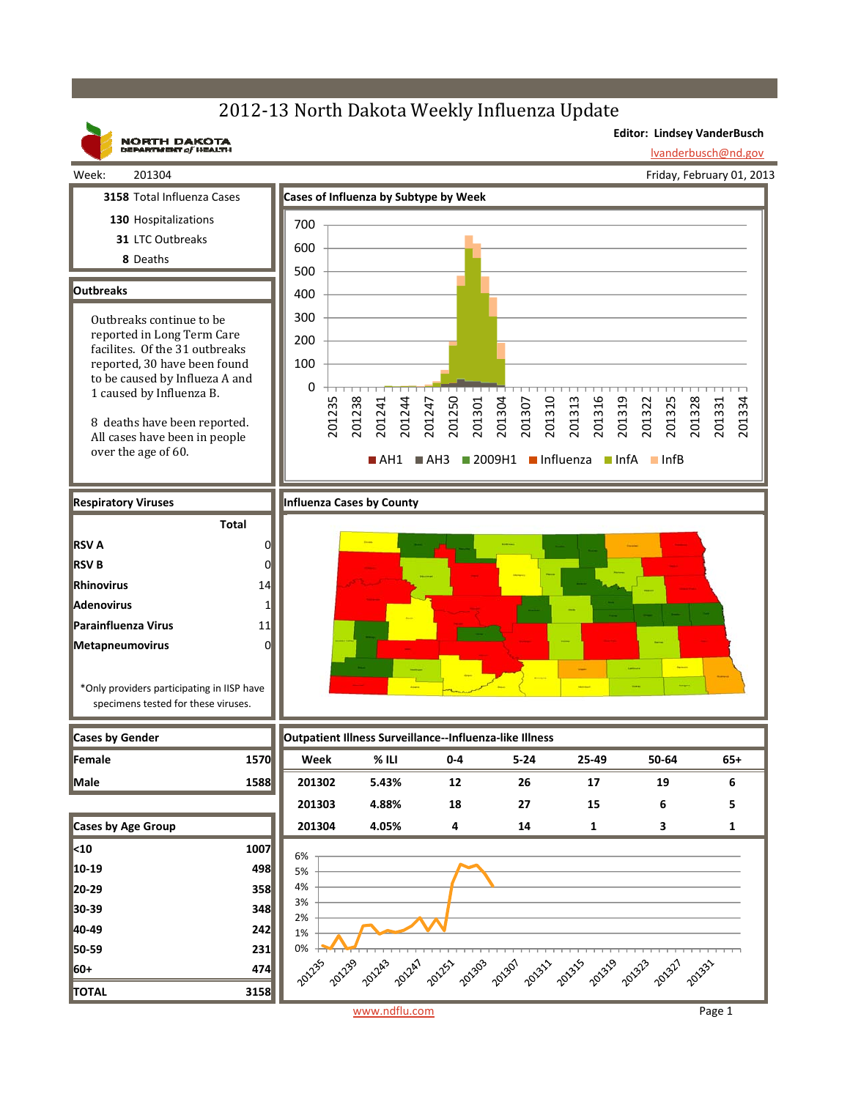## 2012-13 North Dakota Weekly Influenza Update